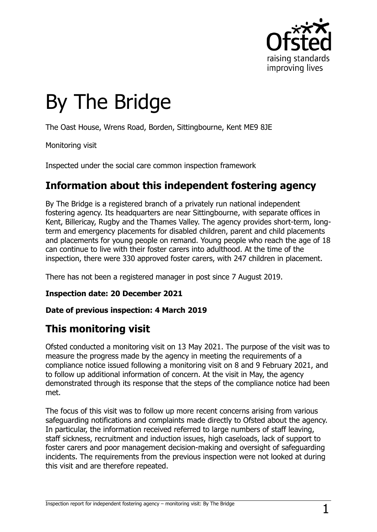

# By The Bridge

The Oast House, Wrens Road, Borden, Sittingbourne, Kent ME9 8JE

Monitoring visit

Inspected under the social care common inspection framework

# **Information about this independent fostering agency**

By The Bridge is a registered branch of a privately run national independent fostering agency. Its headquarters are near Sittingbourne, with separate offices in Kent, Billericay, Rugby and the Thames Valley. The agency provides short-term, longterm and emergency placements for disabled children, parent and child placements and placements for young people on remand. Young people who reach the age of 18 can continue to live with their foster carers into adulthood. At the time of the inspection, there were 330 approved foster carers, with 247 children in placement.

There has not been a registered manager in post since 7 August 2019.

**Inspection date: 20 December 2021**

#### **Date of previous inspection: 4 March 2019**

# **This monitoring visit**

Ofsted conducted a monitoring visit on 13 May 2021. The purpose of the visit was to measure the progress made by the agency in meeting the requirements of a compliance notice issued following a monitoring visit on 8 and 9 February 2021, and to follow up additional information of concern. At the visit in May, the agency demonstrated through its response that the steps of the compliance notice had been met.

The focus of this visit was to follow up more recent concerns arising from various safeguarding notifications and complaints made directly to Ofsted about the agency. In particular, the information received referred to large numbers of staff leaving, staff sickness, recruitment and induction issues, high caseloads, lack of support to foster carers and poor management decision-making and oversight of safeguarding incidents. The requirements from the previous inspection were not looked at during this visit and are therefore repeated.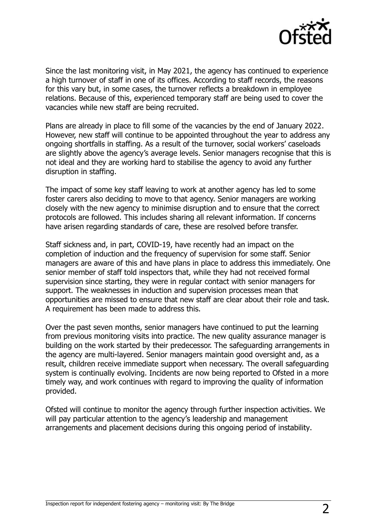

Since the last monitoring visit, in May 2021, the agency has continued to experience a high turnover of staff in one of its offices. According to staff records, the reasons for this vary but, in some cases, the turnover reflects a breakdown in employee relations. Because of this, experienced temporary staff are being used to cover the vacancies while new staff are being recruited.

Plans are already in place to fill some of the vacancies by the end of January 2022. However, new staff will continue to be appointed throughout the year to address any ongoing shortfalls in staffing. As a result of the turnover, social workers' caseloads are slightly above the agency's average levels. Senior managers recognise that this is not ideal and they are working hard to stabilise the agency to avoid any further disruption in staffing.

The impact of some key staff leaving to work at another agency has led to some foster carers also deciding to move to that agency. Senior managers are working closely with the new agency to minimise disruption and to ensure that the correct protocols are followed. This includes sharing all relevant information. If concerns have arisen regarding standards of care, these are resolved before transfer.

Staff sickness and, in part, COVID-19, have recently had an impact on the completion of induction and the frequency of supervision for some staff. Senior managers are aware of this and have plans in place to address this immediately. One senior member of staff told inspectors that, while they had not received formal supervision since starting, they were in regular contact with senior managers for support. The weaknesses in induction and supervision processes mean that opportunities are missed to ensure that new staff are clear about their role and task. A requirement has been made to address this.

Over the past seven months, senior managers have continued to put the learning from previous monitoring visits into practice. The new quality assurance manager is building on the work started by their predecessor. The safeguarding arrangements in the agency are multi-layered. Senior managers maintain good oversight and, as a result, children receive immediate support when necessary. The overall safeguarding system is continually evolving. Incidents are now being reported to Ofsted in a more timely way, and work continues with regard to improving the quality of information provided.

Ofsted will continue to monitor the agency through further inspection activities. We will pay particular attention to the agency's leadership and management arrangements and placement decisions during this ongoing period of instability.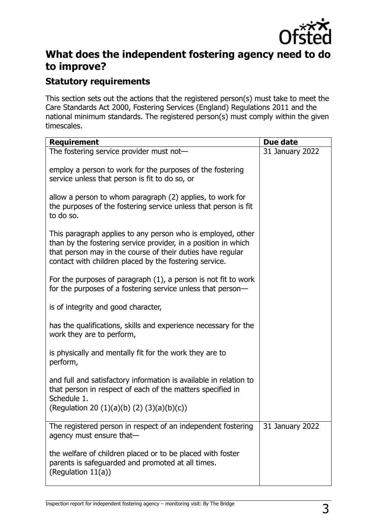

# **What does the independent fostering agency need to do to improve?**

### **Statutory requirements**

This section sets out the actions that the registered person(s) must take to meet the Care Standards Act 2000, Fostering Services (England) Regulations 2011 and the national minimum standards. The registered person(s) must comply within the given timescales.

| <b>Requirement</b>                                                                                                                                                                                                                                    | Due date        |
|-------------------------------------------------------------------------------------------------------------------------------------------------------------------------------------------------------------------------------------------------------|-----------------|
| The fostering service provider must not-                                                                                                                                                                                                              | 31 January 2022 |
| employ a person to work for the purposes of the fostering<br>service unless that person is fit to do so, or                                                                                                                                           |                 |
| allow a person to whom paragraph (2) applies, to work for<br>the purposes of the fostering service unless that person is fit<br>to do so.                                                                                                             |                 |
| This paragraph applies to any person who is employed, other<br>than by the fostering service provider, in a position in which<br>that person may in the course of their duties have regular<br>contact with children placed by the fostering service. |                 |
| For the purposes of paragraph $(1)$ , a person is not fit to work<br>for the purposes of a fostering service unless that person-                                                                                                                      |                 |
| is of integrity and good character,                                                                                                                                                                                                                   |                 |
| has the qualifications, skills and experience necessary for the<br>work they are to perform,                                                                                                                                                          |                 |
| is physically and mentally fit for the work they are to<br>perform,                                                                                                                                                                                   |                 |
| and full and satisfactory information is available in relation to<br>that person in respect of each of the matters specified in<br>Schedule 1.<br>(Regulation 20 $(1)(a)(b)(2)(3)(a)(b)(c)$ )                                                         |                 |
| The registered person in respect of an independent fostering<br>agency must ensure that-                                                                                                                                                              | 31 January 2022 |
| the welfare of children placed or to be placed with foster<br>parents is safeguarded and promoted at all times.<br>(Regulation 11(a))                                                                                                                 |                 |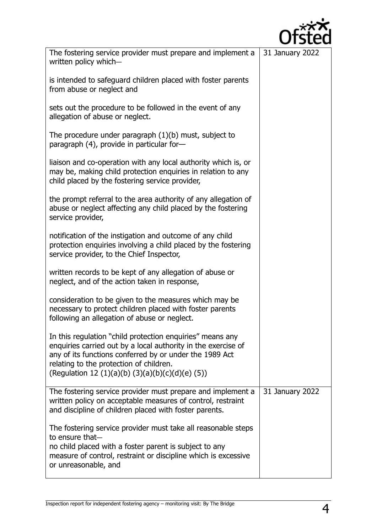

| The fostering service provider must prepare and implement a<br>written policy which-                                                                                                                                                                                                 | 31 January 2022 |
|--------------------------------------------------------------------------------------------------------------------------------------------------------------------------------------------------------------------------------------------------------------------------------------|-----------------|
| is intended to safeguard children placed with foster parents<br>from abuse or neglect and                                                                                                                                                                                            |                 |
| sets out the procedure to be followed in the event of any<br>allegation of abuse or neglect.                                                                                                                                                                                         |                 |
| The procedure under paragraph $(1)(b)$ must, subject to<br>paragraph (4), provide in particular for-                                                                                                                                                                                 |                 |
| liaison and co-operation with any local authority which is, or<br>may be, making child protection enquiries in relation to any<br>child placed by the fostering service provider,                                                                                                    |                 |
| the prompt referral to the area authority of any allegation of<br>abuse or neglect affecting any child placed by the fostering<br>service provider,                                                                                                                                  |                 |
| notification of the instigation and outcome of any child<br>protection enquiries involving a child placed by the fostering<br>service provider, to the Chief Inspector,                                                                                                              |                 |
| written records to be kept of any allegation of abuse or<br>neglect, and of the action taken in response,                                                                                                                                                                            |                 |
| consideration to be given to the measures which may be<br>necessary to protect children placed with foster parents<br>following an allegation of abuse or neglect.                                                                                                                   |                 |
| In this regulation "child protection enquiries" means any<br>enquiries carried out by a local authority in the exercise of<br>any of its functions conferred by or under the 1989 Act<br>relating to the protection of children.<br>(Regulation 12 (1)(a)(b) (3)(a)(b)(c)(d)(e) (5)) |                 |
| The fostering service provider must prepare and implement a<br>written policy on acceptable measures of control, restraint<br>and discipline of children placed with foster parents.                                                                                                 | 31 January 2022 |
| The fostering service provider must take all reasonable steps<br>to ensure that-<br>no child placed with a foster parent is subject to any<br>measure of control, restraint or discipline which is excessive<br>or unreasonable, and                                                 |                 |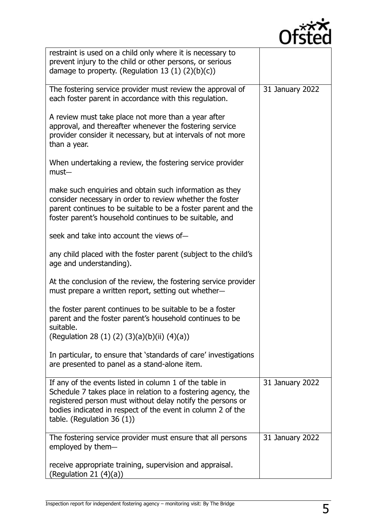

| restraint is used on a child only where it is necessary to                                                                         |                 |
|------------------------------------------------------------------------------------------------------------------------------------|-----------------|
| prevent injury to the child or other persons, or serious<br>damage to property. (Regulation 13 $(1)$ $(2)(b)(c)$ )                 |                 |
|                                                                                                                                    |                 |
| The fostering service provider must review the approval of                                                                         | 31 January 2022 |
| each foster parent in accordance with this regulation.                                                                             |                 |
| A review must take place not more than a year after<br>approval, and thereafter whenever the fostering service                     |                 |
| provider consider it necessary, but at intervals of not more<br>than a year.                                                       |                 |
| When undertaking a review, the fostering service provider<br>$must-$                                                               |                 |
| make such enquiries and obtain such information as they                                                                            |                 |
| consider necessary in order to review whether the foster<br>parent continues to be suitable to be a foster parent and the          |                 |
| foster parent's household continues to be suitable, and                                                                            |                 |
| seek and take into account the views of-                                                                                           |                 |
| any child placed with the foster parent (subject to the child's<br>age and understanding).                                         |                 |
| At the conclusion of the review, the fostering service provider<br>must prepare a written report, setting out whether-             |                 |
| the foster parent continues to be suitable to be a foster<br>parent and the foster parent's household continues to be<br>suitable. |                 |
| (Regulation 28 (1) (2) (3)(a)(b)(ii) (4)(a))                                                                                       |                 |
| In particular, to ensure that 'standards of care' investigations<br>are presented to panel as a stand-alone item.                  |                 |
| If any of the events listed in column 1 of the table in                                                                            | 31 January 2022 |
| Schedule 7 takes place in relation to a fostering agency, the<br>registered person must without delay notify the persons or        |                 |
| bodies indicated in respect of the event in column 2 of the<br>table. (Regulation 36 $(1)$ )                                       |                 |
| The fostering service provider must ensure that all persons<br>employed by them-                                                   | 31 January 2022 |
| receive appropriate training, supervision and appraisal.<br>(Regulation 21 $(4)(a)$ )                                              |                 |
|                                                                                                                                    |                 |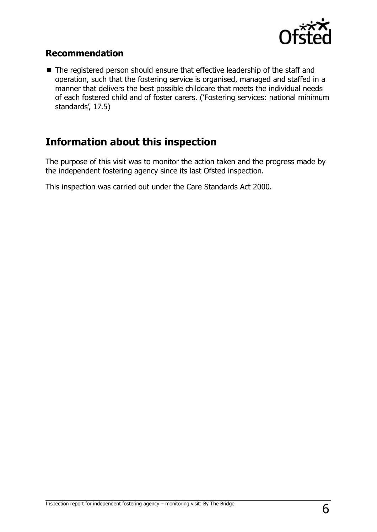

#### **Recommendation**

■ The registered person should ensure that effective leadership of the staff and operation, such that the fostering service is organised, managed and staffed in a manner that delivers the best possible childcare that meets the individual needs of each fostered child and of foster carers. ('Fostering services: national minimum standards', 17.5)

# **Information about this inspection**

The purpose of this visit was to monitor the action taken and the progress made by the independent fostering agency since its last Ofsted inspection.

This inspection was carried out under the Care Standards Act 2000.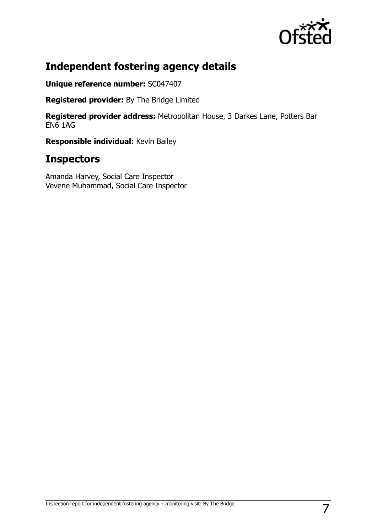

# **Independent fostering agency details**

**Unique reference number:** SC047407

**Registered provider:** By The Bridge Limited

**Registered provider address:** Metropolitan House, 3 Darkes Lane, Potters Bar EN6 1AG

**Responsible individual:** Kevin Bailey

## **Inspectors**

Amanda Harvey, Social Care Inspector Vevene Muhammad, Social Care Inspector